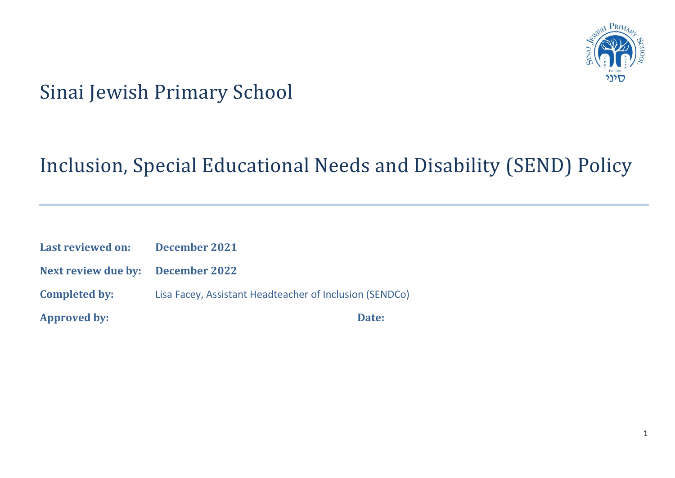

# Sinai Jewish Primary School

# Inclusion, Special Educational Needs and Disability (SEND) Policy

| <b>Approved by:</b>               | Date:                                                   |
|-----------------------------------|---------------------------------------------------------|
| <b>Completed by:</b>              | Lisa Facey, Assistant Headteacher of Inclusion (SENDCo) |
| Next review due by: December 2022 |                                                         |
| <b>Last reviewed on:</b>          | December 2021                                           |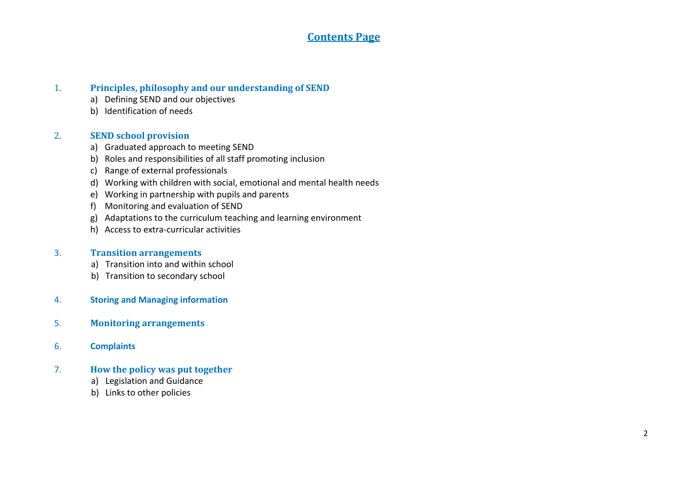### **Contents Page**

### 1. **Principles, philosophy and our understanding of SEND**

- a) Defining SEND and our objectives
- b) Identification of needs

### 2. **SEND school provision**

- a) Graduated approach to meeting SEND
- b) Roles and responsibilities of all staff promoting inclusion
- c) Range of external professionals
- d) Working with children with social, emotional and mental health needs
- e) Working in partnership with pupils and parents
- f) Monitoring and evaluation of SEND
- g) Adaptations to the curriculum teaching and learning environment
- h) Access to extra-curricular activities

### 3. **Transition arrangements**

- a) Transition into and within school
- b) Transition to secondary school
- 4. **Storing and Managing information**
- 5. **Monitoring arrangements**
- 6. **Complaints**

### 7. **How the policy was put together**

- a) Legislation and Guidance
- b) Links to other policies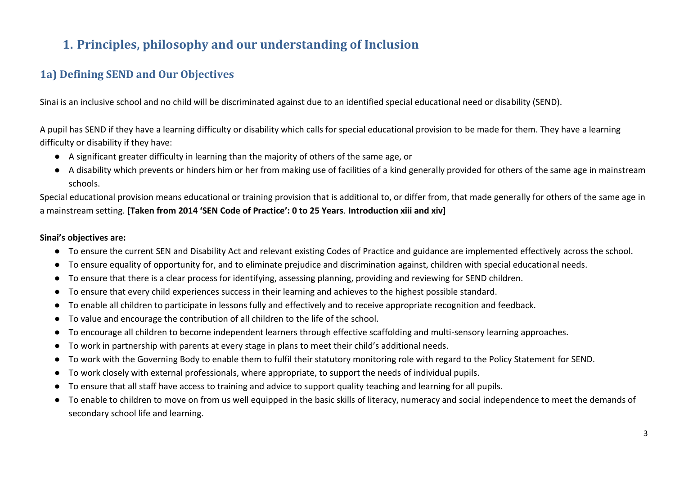# **1. Principles, philosophy and our understanding of Inclusion**

# **1a) Defining SEND and Our Objectives**

Sinai is an inclusive school and no child will be discriminated against due to an identified special educational need or disability (SEND).

A pupil has SEND if they have a learning difficulty or disability which calls for special educational provision to be made for them. They have a learning difficulty or disability if they have:

- A significant greater difficulty in learning than the majority of others of the same age, or
- A disability which prevents or hinders him or her from making use of facilities of a kind generally provided for others of the same age in mainstream schools.

Special educational provision means educational or training provision that is additional to, or differ from, that made generally for others of the same age in a mainstream setting. **[Taken from 2014 'SEN Code of Practice': 0 to 25 Years***.* **Introduction xiii and xiv]**

### **Sinai's objectives are:**

- To ensure the current SEN and Disability Act and relevant existing Codes of Practice and guidance are implemented effectively across the school.
- To ensure equality of opportunity for, and to eliminate prejudice and discrimination against, children with special educational needs.
- To ensure that there is a clear process for identifying, assessing planning, providing and reviewing for SEND children.
- To ensure that every child experiences success in their learning and achieves to the highest possible standard.
- To enable all children to participate in lessons fully and effectively and to receive appropriate recognition and feedback.
- To value and encourage the contribution of all children to the life of the school.
- To encourage all children to become independent learners through effective scaffolding and multi-sensory learning approaches.
- To work in partnership with parents at every stage in plans to meet their child's additional needs.
- To work with the Governing Body to enable them to fulfil their statutory monitoring role with regard to the Policy Statement for SEND.
- To work closely with external professionals, where appropriate, to support the needs of individual pupils.
- To ensure that all staff have access to training and advice to support quality teaching and learning for all pupils.
- To enable to children to move on from us well equipped in the basic skills of literacy, numeracy and social independence to meet the demands of secondary school life and learning.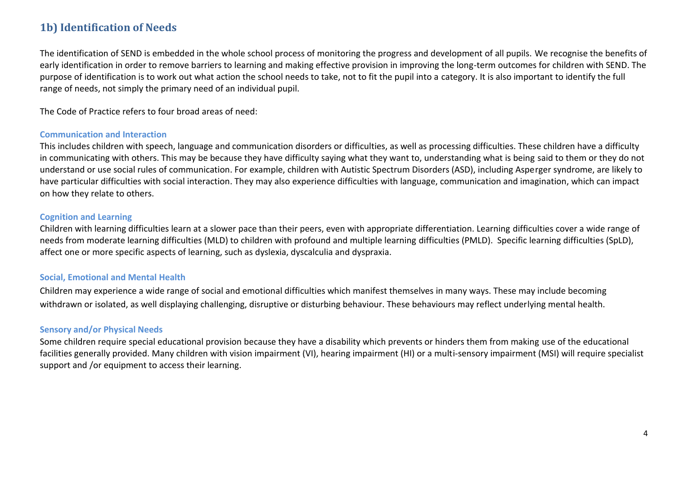# **1b) Identification of Needs**

The identification of SEND is embedded in the whole school process of monitoring the progress and development of all pupils. We recognise the benefits of early identification in order to remove barriers to learning and making effective provision in improving the long-term outcomes for children with SEND. The purpose of identification is to work out what action the school needs to take, not to fit the pupil into a category. It is also important to identify the full range of needs, not simply the primary need of an individual pupil.

The Code of Practice refers to four broad areas of need:

#### **Communication and Interaction**

This includes children with speech, language and communication disorders or difficulties, as well as processing difficulties. These children have a difficulty in communicating with others. This may be because they have difficulty saying what they want to, understanding what is being said to them or they do not understand or use social rules of communication. For example, children with Autistic Spectrum Disorders (ASD), including Asperger syndrome, are likely to have particular difficulties with social interaction. They may also experience difficulties with language, communication and imagination, which can impact on how they relate to others.

#### **Cognition and Learning**

Children with learning difficulties learn at a slower pace than their peers, even with appropriate differentiation. Learning difficulties cover a wide range of needs from moderate learning difficulties (MLD) to children with profound and multiple learning difficulties (PMLD). Specific learning difficulties (SpLD), affect one or more specific aspects of learning, such as dyslexia, dyscalculia and dyspraxia.

#### **Social, Emotional and Mental Health**

Children may experience a wide range of social and emotional difficulties which manifest themselves in many ways. These may include becoming withdrawn or isolated, as well displaying challenging, disruptive or disturbing behaviour. These behaviours may reflect underlying mental health.

#### **Sensory and/or Physical Needs**

Some children require special educational provision because they have a disability which prevents or hinders them from making use of the educational facilities generally provided. Many children with vision impairment (VI), hearing impairment (HI) or a multi-sensory impairment (MSI) will require specialist support and /or equipment to access their learning.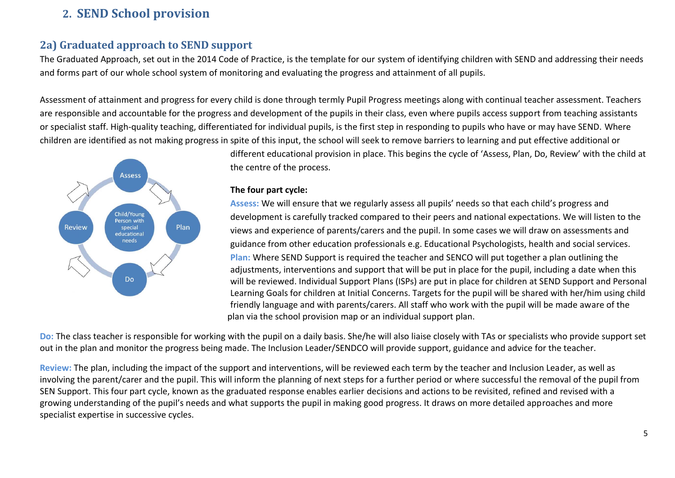# **2. SEND School provision**

# **2a) Graduated approach to SEND support**

The Graduated Approach, set out in the 2014 Code of Practice, is the template for our system of identifying children with SEND and addressing their needs and forms part of our whole school system of monitoring and evaluating the progress and attainment of all pupils.

Assessment of attainment and progress for every child is done through termly Pupil Progress meetings along with continual teacher assessment. Teachers are responsible and accountable for the progress and development of the pupils in their class, even where pupils access support from teaching assistants or specialist staff. High-quality teaching, differentiated for individual pupils, is the first step in responding to pupils who have or may have SEND. Where children are identified as not making progress in spite of this input, the school will seek to remove barriers to learning and put effective additional or



different educational provision in place. This begins the cycle of 'Assess, Plan, Do, Review' with the child at the centre of the process.

#### **The four part cycle:**

**Assess:** We will ensure that we regularly assess all pupils' needs so that each child's progress and development is carefully tracked compared to their peers and national expectations. We will listen to the views and experience of parents/carers and the pupil. In some cases we will draw on assessments and guidance from other education professionals e.g. Educational Psychologists, health and social services. **Plan:** Where SEND Support is required the teacher and SENCO will put together a plan outlining the adjustments, interventions and support that will be put in place for the pupil, including a date when this will be reviewed. Individual Support Plans (ISPs) are put in place for children at SEND Support and Personal Learning Goals for children at Initial Concerns. Targets for the pupil will be shared with her/him using child friendly language and with parents/carers. All staff who work with the pupil will be made aware of the plan via the school provision map or an individual support plan.

**Do:** The class teacher is responsible for working with the pupil on a daily basis. She/he will also liaise closely with TAs or specialists who provide support set out in the plan and monitor the progress being made. The Inclusion Leader/SENDCO will provide support, guidance and advice for the teacher.

**Review:** The plan, including the impact of the support and interventions, will be reviewed each term by the teacher and Inclusion Leader, as well as involving the parent/carer and the pupil. This will inform the planning of next steps for a further period or where successful the removal of the pupil from SEN Support. This four part cycle, known as the graduated response enables earlier decisions and actions to be revisited, refined and revised with a growing understanding of the pupil's needs and what supports the pupil in making good progress. It draws on more detailed approaches and more specialist expertise in successive cycles.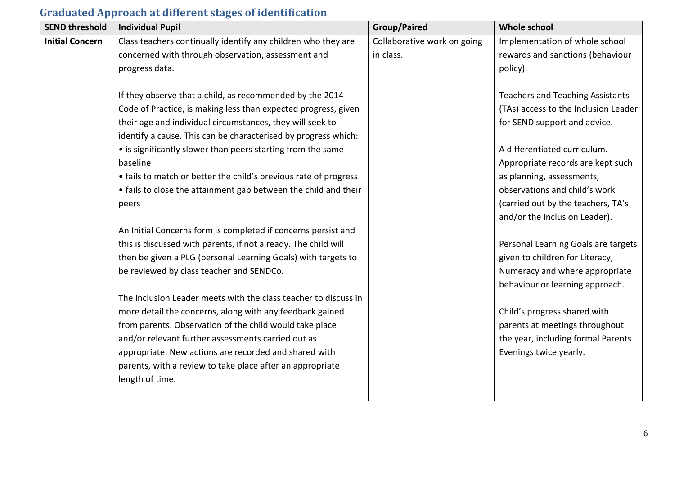# **Graduated Approach at different stages of identification**

| <b>SEND threshold</b>  | <b>Individual Pupil</b>                                          | <b>Group/Paired</b>         | <b>Whole school</b>                     |
|------------------------|------------------------------------------------------------------|-----------------------------|-----------------------------------------|
| <b>Initial Concern</b> | Class teachers continually identify any children who they are    | Collaborative work on going | Implementation of whole school          |
|                        | concerned with through observation, assessment and               | in class.                   | rewards and sanctions (behaviour        |
|                        | progress data.                                                   |                             | policy).                                |
|                        | If they observe that a child, as recommended by the 2014         |                             | <b>Teachers and Teaching Assistants</b> |
|                        | Code of Practice, is making less than expected progress, given   |                             | (TAs) access to the Inclusion Leader    |
|                        | their age and individual circumstances, they will seek to        |                             | for SEND support and advice.            |
|                        | identify a cause. This can be characterised by progress which:   |                             |                                         |
|                        | • is significantly slower than peers starting from the same      |                             | A differentiated curriculum.            |
|                        | baseline                                                         |                             | Appropriate records are kept such       |
|                        | • fails to match or better the child's previous rate of progress |                             | as planning, assessments,               |
|                        | • fails to close the attainment gap between the child and their  |                             | observations and child's work           |
|                        | peers                                                            |                             | (carried out by the teachers, TA's      |
|                        |                                                                  |                             | and/or the Inclusion Leader).           |
|                        | An Initial Concerns form is completed if concerns persist and    |                             |                                         |
|                        | this is discussed with parents, if not already. The child will   |                             | Personal Learning Goals are targets     |
|                        | then be given a PLG (personal Learning Goals) with targets to    |                             | given to children for Literacy,         |
|                        | be reviewed by class teacher and SENDCo.                         |                             | Numeracy and where appropriate          |
|                        |                                                                  |                             | behaviour or learning approach.         |
|                        | The Inclusion Leader meets with the class teacher to discuss in  |                             |                                         |
|                        | more detail the concerns, along with any feedback gained         |                             | Child's progress shared with            |
|                        | from parents. Observation of the child would take place          |                             | parents at meetings throughout          |
|                        | and/or relevant further assessments carried out as               |                             | the year, including formal Parents      |
|                        | appropriate. New actions are recorded and shared with            |                             | Evenings twice yearly.                  |
|                        | parents, with a review to take place after an appropriate        |                             |                                         |
|                        | length of time.                                                  |                             |                                         |
|                        |                                                                  |                             |                                         |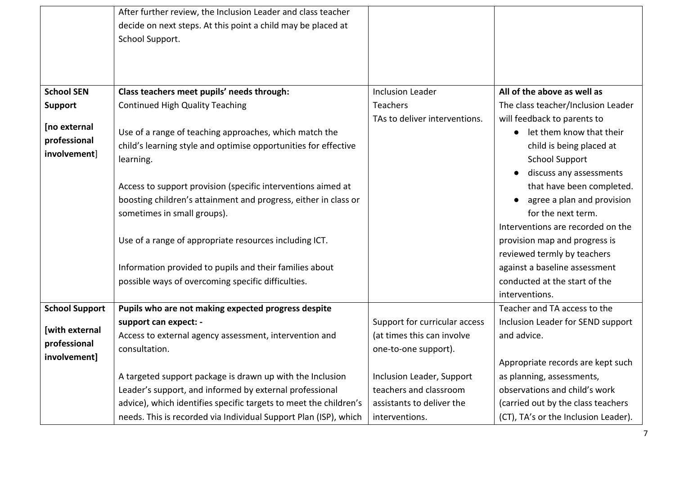|                       | After further review, the Inclusion Leader and class teacher      |                               |                                      |
|-----------------------|-------------------------------------------------------------------|-------------------------------|--------------------------------------|
|                       | decide on next steps. At this point a child may be placed at      |                               |                                      |
|                       | School Support.                                                   |                               |                                      |
|                       |                                                                   |                               |                                      |
|                       |                                                                   |                               |                                      |
| <b>School SEN</b>     | Class teachers meet pupils' needs through:                        | <b>Inclusion Leader</b>       | All of the above as well as          |
|                       | <b>Continued High Quality Teaching</b>                            | Teachers                      | The class teacher/Inclusion Leader   |
| <b>Support</b>        |                                                                   | TAs to deliver interventions. |                                      |
| [no external          |                                                                   |                               | will feedback to parents to          |
| professional          | Use of a range of teaching approaches, which match the            |                               | let them know that their             |
| involvement]          | child's learning style and optimise opportunities for effective   |                               | child is being placed at             |
|                       | learning.                                                         |                               | <b>School Support</b>                |
|                       |                                                                   |                               | discuss any assessments              |
|                       | Access to support provision (specific interventions aimed at      |                               | that have been completed.            |
|                       | boosting children's attainment and progress, either in class or   |                               | agree a plan and provision           |
|                       | sometimes in small groups).                                       |                               | for the next term.                   |
|                       |                                                                   |                               | Interventions are recorded on the    |
|                       | Use of a range of appropriate resources including ICT.            |                               | provision map and progress is        |
|                       |                                                                   |                               | reviewed termly by teachers          |
|                       | Information provided to pupils and their families about           |                               | against a baseline assessment        |
|                       | possible ways of overcoming specific difficulties.                |                               | conducted at the start of the        |
|                       |                                                                   |                               | interventions.                       |
| <b>School Support</b> | Pupils who are not making expected progress despite               |                               | Teacher and TA access to the         |
|                       | support can expect: -                                             | Support for curricular access | Inclusion Leader for SEND support    |
| [with external        | Access to external agency assessment, intervention and            | (at times this can involve    | and advice.                          |
| professional          | consultation.                                                     | one-to-one support).          |                                      |
| involvement]          |                                                                   |                               | Appropriate records are kept such    |
|                       | A targeted support package is drawn up with the Inclusion         | Inclusion Leader, Support     | as planning, assessments,            |
|                       | Leader's support, and informed by external professional           | teachers and classroom        | observations and child's work        |
|                       | advice), which identifies specific targets to meet the children's | assistants to deliver the     | (carried out by the class teachers   |
|                       | needs. This is recorded via Individual Support Plan (ISP), which  | interventions.                | (CT), TA's or the Inclusion Leader). |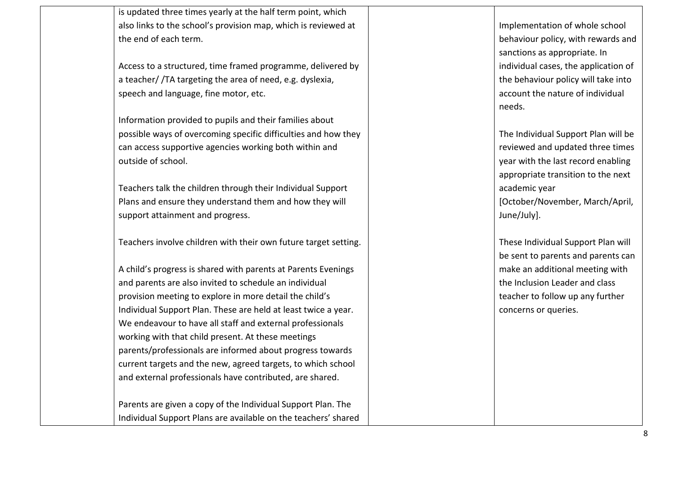is updated three times yearly at the half term point, which also links to the school's provision map, which is reviewed at the end of each term.

Access to a structured, time framed programme, delivered by a teacher/ /TA targeting the area of need, e.g. dyslexia, speech and language, fine motor, etc.

Information provided to pupils and their families about possible ways of overcoming specific difficulties and how they can access supportive agencies working both within and outside of school.

Teachers talk the children through their Individual Support Plans and ensure they understand them and how they will support attainment and progress.

Teachers involve children with their own future target setting.

A child's progress is shared with parents at Parents Evenings and parents are also invited to schedule an individual provision meeting to explore in more detail the child's Individual Support Plan. These are held at least twice a year. We endeavour to have all staff and external professionals working with that child present. At these meetings parents/professionals are informed about progress towards current targets and the new, agreed targets, to which school and external professionals have contributed, are shared.

Parents are given a copy of the Individual Support Plan. The Individual Support Plans are available on the teachers' shared Implementation of whole school behaviour policy, with rewards and sanctions as appropriate. In individual cases, the application of the behaviour policy will take into account the nature of individual needs.

The Individual Support Plan will be reviewed and updated three times year with the last record enabling appropriate transition to the next academic year

[October/November, March/April, June/July].

These Individual Support Plan will be sent to parents and parents can make an additional meeting with the Inclusion Leader and class teacher to follow up any further concerns or queries.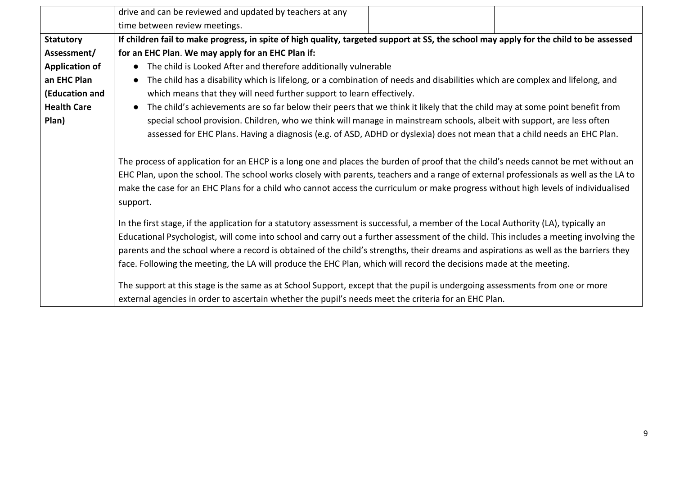|                       | drive and can be reviewed and updated by teachers at any                                                                               |  |  |
|-----------------------|----------------------------------------------------------------------------------------------------------------------------------------|--|--|
|                       | time between review meetings.                                                                                                          |  |  |
| <b>Statutory</b>      | If children fail to make progress, in spite of high quality, targeted support at SS, the school may apply for the child to be assessed |  |  |
| Assessment/           | for an EHC Plan. We may apply for an EHC Plan if:                                                                                      |  |  |
| <b>Application of</b> | • The child is Looked After and therefore additionally vulnerable                                                                      |  |  |
| an EHC Plan           | The child has a disability which is lifelong, or a combination of needs and disabilities which are complex and lifelong, and           |  |  |
| (Education and        | which means that they will need further support to learn effectively.                                                                  |  |  |
| <b>Health Care</b>    | The child's achievements are so far below their peers that we think it likely that the child may at some point benefit from            |  |  |
| Plan)                 | special school provision. Children, who we think will manage in mainstream schools, albeit with support, are less often                |  |  |
|                       | assessed for EHC Plans. Having a diagnosis (e.g. of ASD, ADHD or dyslexia) does not mean that a child needs an EHC Plan.               |  |  |
|                       |                                                                                                                                        |  |  |
|                       | The process of application for an EHCP is a long one and places the burden of proof that the child's needs cannot be met without an    |  |  |
|                       | EHC Plan, upon the school. The school works closely with parents, teachers and a range of external professionals as well as the LA to  |  |  |
|                       | make the case for an EHC Plans for a child who cannot access the curriculum or make progress without high levels of individualised     |  |  |
|                       | support.                                                                                                                               |  |  |
|                       | In the first stage, if the application for a statutory assessment is successful, a member of the Local Authority (LA), typically an    |  |  |
|                       |                                                                                                                                        |  |  |
|                       | Educational Psychologist, will come into school and carry out a further assessment of the child. This includes a meeting involving the |  |  |
|                       | parents and the school where a record is obtained of the child's strengths, their dreams and aspirations as well as the barriers they  |  |  |
|                       | face. Following the meeting, the LA will produce the EHC Plan, which will record the decisions made at the meeting.                    |  |  |
|                       | The support at this stage is the same as at School Support, except that the pupil is undergoing assessments from one or more           |  |  |
|                       | external agencies in order to ascertain whether the pupil's needs meet the criteria for an EHC Plan.                                   |  |  |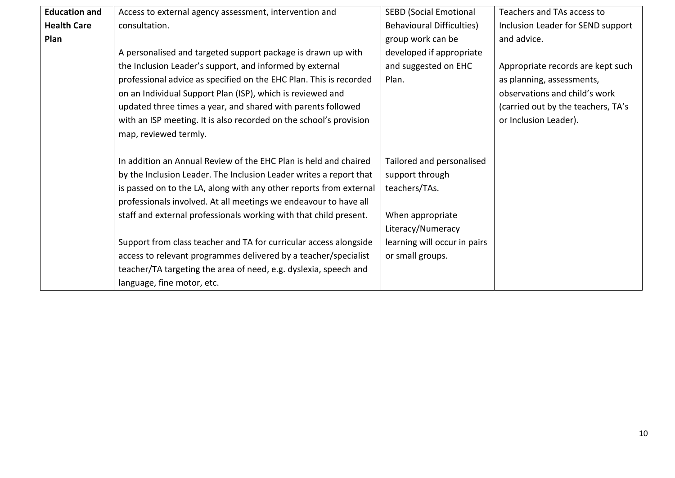| <b>Education and</b> | Access to external agency assessment, intervention and             | <b>SEBD (Social Emotional</b>    | Teachers and TAs access to         |
|----------------------|--------------------------------------------------------------------|----------------------------------|------------------------------------|
| <b>Health Care</b>   | consultation.                                                      | <b>Behavioural Difficulties)</b> | Inclusion Leader for SEND support  |
| Plan                 |                                                                    | group work can be                | and advice.                        |
|                      | A personalised and targeted support package is drawn up with       | developed if appropriate         |                                    |
|                      | the Inclusion Leader's support, and informed by external           | and suggested on EHC             | Appropriate records are kept such  |
|                      | professional advice as specified on the EHC Plan. This is recorded | Plan.                            | as planning, assessments,          |
|                      | on an Individual Support Plan (ISP), which is reviewed and         |                                  | observations and child's work      |
|                      | updated three times a year, and shared with parents followed       |                                  | (carried out by the teachers, TA's |
|                      |                                                                    |                                  | or Inclusion Leader).              |
|                      | with an ISP meeting. It is also recorded on the school's provision |                                  |                                    |
|                      | map, reviewed termly.                                              |                                  |                                    |
|                      |                                                                    |                                  |                                    |
|                      | In addition an Annual Review of the EHC Plan is held and chaired   | Tailored and personalised        |                                    |
|                      | by the Inclusion Leader. The Inclusion Leader writes a report that | support through                  |                                    |
|                      | is passed on to the LA, along with any other reports from external | teachers/TAs.                    |                                    |
|                      | professionals involved. At all meetings we endeavour to have all   |                                  |                                    |
|                      | staff and external professionals working with that child present.  | When appropriate                 |                                    |
|                      |                                                                    | Literacy/Numeracy                |                                    |
|                      | Support from class teacher and TA for curricular access alongside  | learning will occur in pairs     |                                    |
|                      | access to relevant programmes delivered by a teacher/specialist    | or small groups.                 |                                    |
|                      | teacher/TA targeting the area of need, e.g. dyslexia, speech and   |                                  |                                    |
|                      |                                                                    |                                  |                                    |
|                      | language, fine motor, etc.                                         |                                  |                                    |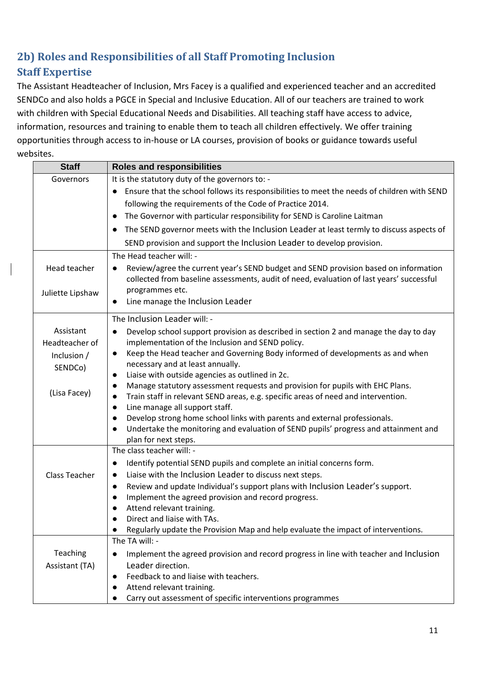# **2b) Roles and Responsibilities of all Staff Promoting Inclusion Staff Expertise**

The Assistant Headteacher of Inclusion, Mrs Facey is a qualified and experienced teacher and an accredited SENDCo and also holds a PGCE in Special and Inclusive Education. All of our teachers are trained to work with children with Special Educational Needs and Disabilities. All teaching staff have access to advice, information, resources and training to enable them to teach all children effectively. We offer training opportunities through access to in-house or LA courses, provision of books or guidance towards useful websites.

| <b>Staff</b>                                                 | <b>Roles and responsibilities</b>                                                                                        |
|--------------------------------------------------------------|--------------------------------------------------------------------------------------------------------------------------|
| It is the statutory duty of the governors to: -<br>Governors |                                                                                                                          |
|                                                              | Ensure that the school follows its responsibilities to meet the needs of children with SEND<br>$\bullet$                 |
|                                                              | following the requirements of the Code of Practice 2014.                                                                 |
|                                                              | The Governor with particular responsibility for SEND is Caroline Laitman<br>$\bullet$                                    |
|                                                              | The SEND governor meets with the Inclusion Leader at least termly to discuss aspects of<br>$\bullet$                     |
|                                                              | SEND provision and support the Inclusion Leader to develop provision.                                                    |
|                                                              | The Head teacher will: -                                                                                                 |
| Head teacher                                                 | Review/agree the current year's SEND budget and SEND provision based on information<br>$\bullet$                         |
|                                                              | collected from baseline assessments, audit of need, evaluation of last years' successful                                 |
| Juliette Lipshaw                                             | programmes etc.                                                                                                          |
|                                                              | Line manage the Inclusion Leader<br>$\bullet$                                                                            |
|                                                              | The Inclusion Leader will: -                                                                                             |
| Assistant                                                    | Develop school support provision as described in section 2 and manage the day to day<br>$\bullet$                        |
| Headteacher of                                               | implementation of the Inclusion and SEND policy.                                                                         |
| Inclusion /                                                  | Keep the Head teacher and Governing Body informed of developments as and when<br>$\bullet$                               |
| SENDCo)                                                      | necessary and at least annually.                                                                                         |
|                                                              | Liaise with outside agencies as outlined in 2c.<br>$\bullet$                                                             |
| (Lisa Facey)                                                 | Manage statutory assessment requests and provision for pupils with EHC Plans.<br>$\bullet$                               |
|                                                              | Train staff in relevant SEND areas, e.g. specific areas of need and intervention.<br>$\bullet$                           |
|                                                              | Line manage all support staff.<br>$\bullet$                                                                              |
|                                                              | Develop strong home school links with parents and external professionals.<br>$\bullet$                                   |
|                                                              | Undertake the monitoring and evaluation of SEND pupils' progress and attainment and<br>$\bullet$<br>plan for next steps. |
|                                                              | The class teacher will: -                                                                                                |
|                                                              | Identify potential SEND pupils and complete an initial concerns form.<br>$\bullet$                                       |
| <b>Class Teacher</b>                                         | Liaise with the Inclusion Leader to discuss next steps.<br>$\bullet$                                                     |
|                                                              | Review and update Individual's support plans with Inclusion Leader's support.<br>$\bullet$                               |
|                                                              | Implement the agreed provision and record progress.<br>$\bullet$                                                         |
|                                                              | Attend relevant training.                                                                                                |
|                                                              | Direct and liaise with TAs.                                                                                              |
|                                                              | Regularly update the Provision Map and help evaluate the impact of interventions.                                        |
|                                                              | The TA will: -                                                                                                           |
| Teaching                                                     | Implement the agreed provision and record progress in line with teacher and Inclusion                                    |
| Assistant (TA)                                               | Leader direction.                                                                                                        |
|                                                              | Feedback to and liaise with teachers.                                                                                    |
|                                                              | Attend relevant training.                                                                                                |
|                                                              | Carry out assessment of specific interventions programmes<br>$\bullet$                                                   |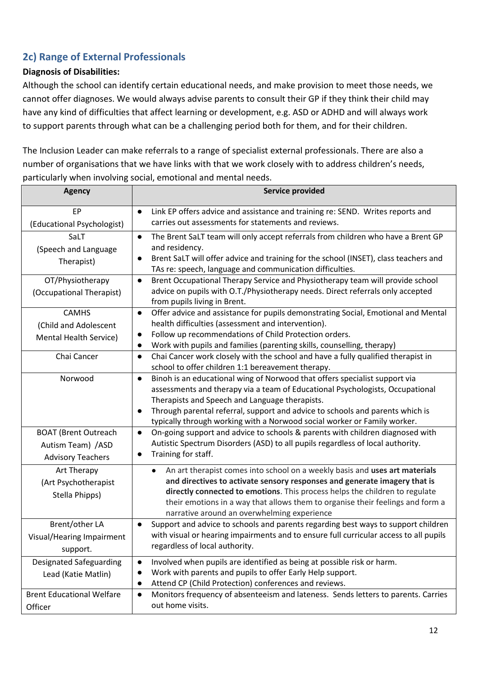# **2c) Range of External Professionals**

### **Diagnosis of Disabilities:**

Although the school can identify certain educational needs, and make provision to meet those needs, we cannot offer diagnoses. We would always advise parents to consult their GP if they think their child may have any kind of difficulties that affect learning or development, e.g. ASD or ADHD and will always work to support parents through what can be a challenging period both for them, and for their children.

The Inclusion Leader can make referrals to a range of specialist external professionals. There are also a number of organisations that we have links with that we work closely with to address children's needs, particularly when involving social, emotional and mental needs.

| <b>Agency</b>                                                                 | <b>Service provided</b>                                                                                                                                                                                                                                                                                                                                                                              |
|-------------------------------------------------------------------------------|------------------------------------------------------------------------------------------------------------------------------------------------------------------------------------------------------------------------------------------------------------------------------------------------------------------------------------------------------------------------------------------------------|
| EP<br>(Educational Psychologist)                                              | Link EP offers advice and assistance and training re: SEND. Writes reports and<br>$\bullet$<br>carries out assessments for statements and reviews.                                                                                                                                                                                                                                                   |
| SaLT<br>(Speech and Language<br>Therapist)                                    | The Brent SaLT team will only accept referrals from children who have a Brent GP<br>$\bullet$<br>and residency.<br>Brent SaLT will offer advice and training for the school (INSET), class teachers and<br>$\bullet$<br>TAs re: speech, language and communication difficulties.                                                                                                                     |
| OT/Physiotherapy<br>(Occupational Therapist)                                  | Brent Occupational Therapy Service and Physiotherapy team will provide school<br>$\bullet$<br>advice on pupils with O.T./Physiotherapy needs. Direct referrals only accepted<br>from pupils living in Brent.                                                                                                                                                                                         |
| <b>CAMHS</b><br>(Child and Adolescent<br><b>Mental Health Service)</b>        | Offer advice and assistance for pupils demonstrating Social, Emotional and Mental<br>$\bullet$<br>health difficulties (assessment and intervention).<br>Follow up recommendations of Child Protection orders.<br>$\bullet$<br>Work with pupils and families (parenting skills, counselling, therapy)<br>$\bullet$                                                                                    |
| Chai Cancer                                                                   | Chai Cancer work closely with the school and have a fully qualified therapist in<br>$\bullet$<br>school to offer children 1:1 bereavement therapy.                                                                                                                                                                                                                                                   |
| Norwood                                                                       | Binoh is an educational wing of Norwood that offers specialist support via<br>$\bullet$<br>assessments and therapy via a team of Educational Psychologists, Occupational<br>Therapists and Speech and Language therapists.<br>Through parental referral, support and advice to schools and parents which is<br>$\bullet$<br>typically through working with a Norwood social worker or Family worker. |
| <b>BOAT (Brent Outreach</b><br>Autism Team) / ASD<br><b>Advisory Teachers</b> | On-going support and advice to schools & parents with children diagnosed with<br>$\bullet$<br>Autistic Spectrum Disorders (ASD) to all pupils regardless of local authority.<br>Training for staff.<br>$\bullet$                                                                                                                                                                                     |
| Art Therapy<br>(Art Psychotherapist<br>Stella Phipps)                         | An art therapist comes into school on a weekly basis and uses art materials<br>$\bullet$<br>and directives to activate sensory responses and generate imagery that is<br>directly connected to emotions. This process helps the children to regulate<br>their emotions in a way that allows them to organise their feelings and form a<br>narrative around an overwhelming experience                |
| Brent/other LA<br>Visual/Hearing Impairment<br>support.                       | Support and advice to schools and parents regarding best ways to support children<br>$\bullet$<br>with visual or hearing impairments and to ensure full curricular access to all pupils<br>regardless of local authority.                                                                                                                                                                            |
| <b>Designated Safeguarding</b><br>Lead (Katie Matlin)                         | Involved when pupils are identified as being at possible risk or harm.<br>$\bullet$<br>Work with parents and pupils to offer Early Help support.<br>$\bullet$<br>Attend CP (Child Protection) conferences and reviews.<br>$\bullet$                                                                                                                                                                  |
| <b>Brent Educational Welfare</b><br>Officer                                   | Monitors frequency of absenteeism and lateness. Sends letters to parents. Carries<br>$\bullet$<br>out home visits.                                                                                                                                                                                                                                                                                   |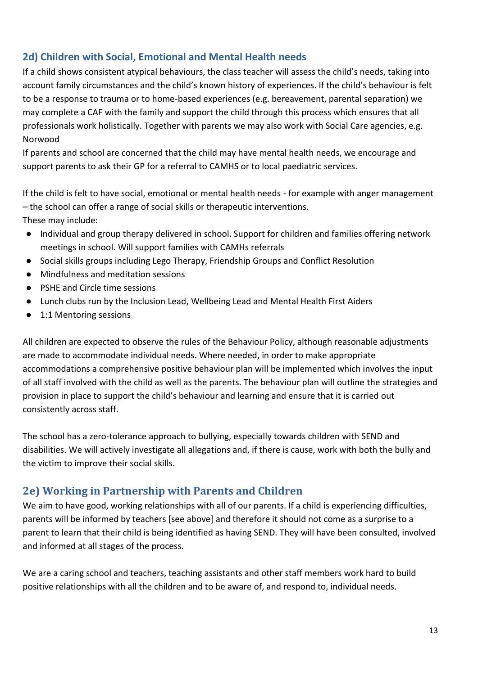### **2d) Children with Social, Emotional and Mental Health needs**

If a child shows consistent atypical behaviours, the class teacher will assess the child's needs, taking into account family circumstances and the child's known history of experiences. If the child's behaviour is felt to be a response to trauma or to home-based experiences (e.g. bereavement, parental separation) we may complete a CAF with the family and support the child through this process which ensures that all professionals work holistically. Together with parents we may also work with Social Care agencies, e.g. Norwood

If parents and school are concerned that the child may have mental health needs, we encourage and support parents to ask their GP for a referral to CAMHS or to local paediatric services.

If the child is felt to have social, emotional or mental health needs - for example with anger management – the school can offer a range of social skills or therapeutic interventions. These may include:

- Individual and group therapy delivered in school. Support for children and families offering network meetings in school. Will support families with CAMHs referrals
- Social skills groups including Lego Therapy, Friendship Groups and Conflict Resolution
- Mindfulness and meditation sessions
- PSHE and Circle time sessions
- Lunch clubs run by the Inclusion Lead, Wellbeing Lead and Mental Health First Aiders
- 1:1 Mentoring sessions

All children are expected to observe the rules of the Behaviour Policy, although reasonable adjustments are made to accommodate individual needs. Where needed, in order to make appropriate accommodations a comprehensive positive behaviour plan will be implemented which involves the input of all staff involved with the child as well as the parents. The behaviour plan will outline the strategies and provision in place to support the child's behaviour and learning and ensure that it is carried out consistently across staff.

The school has a zero-tolerance approach to bullying, especially towards children with SEND and disabilities. We will actively investigate all allegations and, if there is cause, work with both the bully and the victim to improve their social skills.

# **2e) Working in Partnership with Parents and Children**

We aim to have good, working relationships with all of our parents. If a child is experiencing difficulties, parents will be informed by teachers [see above] and therefore it should not come as a surprise to a parent to learn that their child is being identified as having SEND. They will have been consulted, involved and informed at all stages of the process.

We are a caring school and teachers, teaching assistants and other staff members work hard to build positive relationships with all the children and to be aware of, and respond to, individual needs.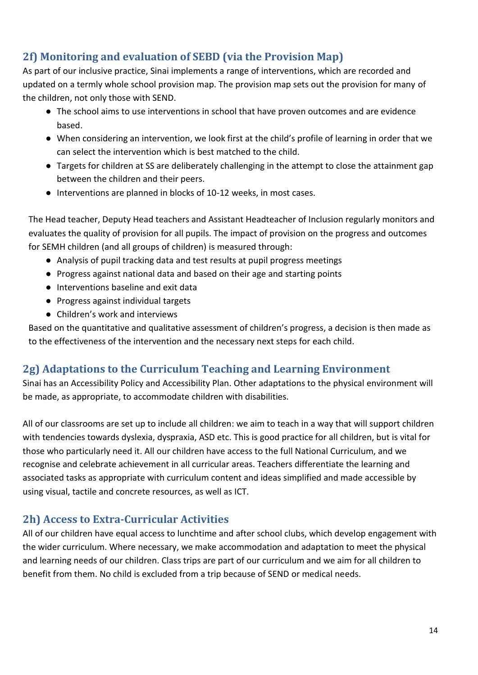# **2f) Monitoring and evaluation of SEBD (via the Provision Map)**

As part of our inclusive practice, Sinai implements a range of interventions, which are recorded and updated on a termly whole school provision map. The provision map sets out the provision for many of the children, not only those with SEND.

- The school aims to use interventions in school that have proven outcomes and are evidence based.
- When considering an intervention, we look first at the child's profile of learning in order that we can select the intervention which is best matched to the child.
- Targets for children at SS are deliberately challenging in the attempt to close the attainment gap between the children and their peers.
- Interventions are planned in blocks of 10-12 weeks, in most cases.

The Head teacher, Deputy Head teachers and Assistant Headteacher of Inclusion regularly monitors and evaluates the quality of provision for all pupils. The impact of provision on the progress and outcomes for SEMH children (and all groups of children) is measured through:

- Analysis of pupil tracking data and test results at pupil progress meetings
- Progress against national data and based on their age and starting points
- Interventions baseline and exit data
- Progress against individual targets
- Children's work and interviews

Based on the quantitative and qualitative assessment of children's progress, a decision is then made as to the effectiveness of the intervention and the necessary next steps for each child.

# **2g) Adaptations to the Curriculum Teaching and Learning Environment**

Sinai has an Accessibility Policy and Accessibility Plan. Other adaptations to the physical environment will be made, as appropriate, to accommodate children with disabilities.

All of our classrooms are set up to include all children: we aim to teach in a way that will support children with tendencies towards dyslexia, dyspraxia, ASD etc. This is good practice for all children, but is vital for those who particularly need it. All our children have access to the full National Curriculum, and we recognise and celebrate achievement in all curricular areas. Teachers differentiate the learning and associated tasks as appropriate with curriculum content and ideas simplified and made accessible by using visual, tactile and concrete resources, as well as ICT.

# **2h) Access to Extra-Curricular Activities**

All of our children have equal access to lunchtime and after school clubs, which develop engagement with the wider curriculum. Where necessary, we make accommodation and adaptation to meet the physical and learning needs of our children. Class trips are part of our curriculum and we aim for all children to benefit from them. No child is excluded from a trip because of SEND or medical needs.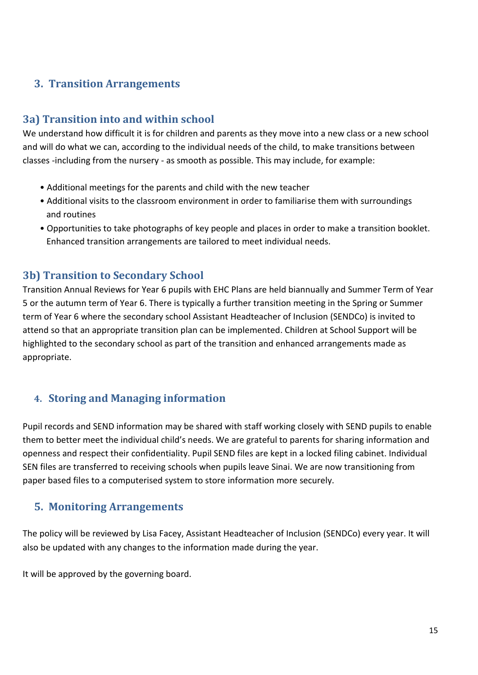# **3. Transition Arrangements**

### **3a) Transition into and within school**

We understand how difficult it is for children and parents as they move into a new class or a new school and will do what we can, according to the individual needs of the child, to make transitions between classes -including from the nursery - as smooth as possible. This may include, for example:

- Additional meetings for the parents and child with the new teacher
- Additional visits to the classroom environment in order to familiarise them with surroundings and routines
- Opportunities to take photographs of key people and places in order to make a transition booklet. Enhanced transition arrangements are tailored to meet individual needs.

### **3b) Transition to Secondary School**

Transition Annual Reviews for Year 6 pupils with EHC Plans are held biannually and Summer Term of Year 5 or the autumn term of Year 6. There is typically a further transition meeting in the Spring or Summer term of Year 6 where the secondary school Assistant Headteacher of Inclusion (SENDCo) is invited to attend so that an appropriate transition plan can be implemented. Children at School Support will be highlighted to the secondary school as part of the transition and enhanced arrangements made as appropriate.

# **4. Storing and Managing information**

Pupil records and SEND information may be shared with staff working closely with SEND pupils to enable them to better meet the individual child's needs. We are grateful to parents for sharing information and openness and respect their confidentiality. Pupil SEND files are kept in a locked filing cabinet. Individual SEN files are transferred to receiving schools when pupils leave Sinai. We are now transitioning from paper based files to a computerised system to store information more securely.

### **5. Monitoring Arrangements**

The policy will be reviewed by Lisa Facey, Assistant Headteacher of Inclusion (SENDCo) every year. It will also be updated with any changes to the information made during the year.

It will be approved by the governing board.